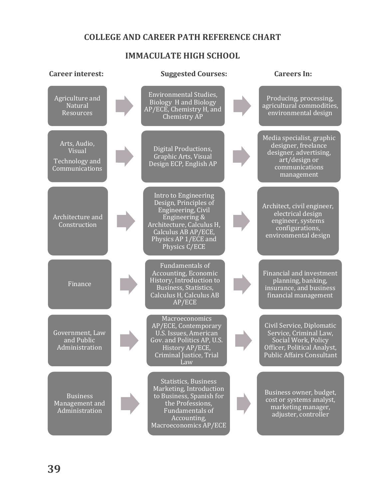# **COLLEGE AND CAREER PATH REFERENCE CHART**

# **IMMACULATE HIGH SCHOOL**